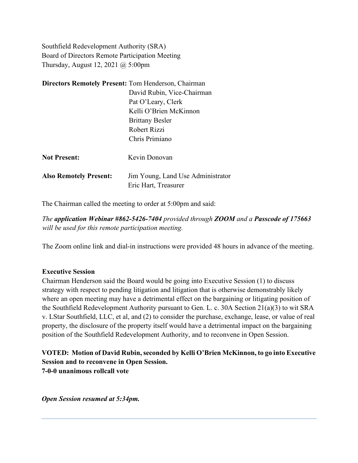Southfield Redevelopment Authority (SRA) Board of Directors Remote Participation Meeting Thursday, August 12, 2021 @ 5:00pm

| <b>Directors Remotely Present: Tom Henderson, Chairman</b> |                                   |
|------------------------------------------------------------|-----------------------------------|
|                                                            | David Rubin, Vice-Chairman        |
|                                                            | Pat O'Leary, Clerk                |
|                                                            | Kelli O'Brien McKinnon            |
|                                                            | <b>Brittany Besler</b>            |
|                                                            | Robert Rizzi                      |
|                                                            | Chris Primiano                    |
| <b>Not Present:</b>                                        | Kevin Donovan                     |
| <b>Also Remotely Present:</b>                              | Jim Young, Land Use Administrator |
|                                                            | Eric Hart, Treasurer              |

The Chairman called the meeting to order at 5:00pm and said:

*The application Webinar #862-5426-7404 provided through ZOOM and a Passcode of 175663 will be used for this remote participation meeting.*

The Zoom online link and dial-in instructions were provided 48 hours in advance of the meeting.

#### **Executive Session**

Chairman Henderson said the Board would be going into Executive Session (1) to discuss strategy with respect to pending litigation and litigation that is otherwise demonstrably likely where an open meeting may have a detrimental effect on the bargaining or litigating position of the Southfield Redevelopment Authority pursuant to Gen. L. c. 30A Section 21(a)(3) to wit SRA v. LStar Southfield, LLC, et al, and (2) to consider the purchase, exchange, lease, or value of real property, the disclosure of the property itself would have a detrimental impact on the bargaining position of the Southfield Redevelopment Authority, and to reconvene in Open Session.

### **VOTED: Motion of David Rubin, seconded by Kelli O'Brien McKinnon, to go into Executive Session and to reconvene in Open Session. 7-0-0 unanimous rollcall vote**

*Open Session resumed at 5:34pm.*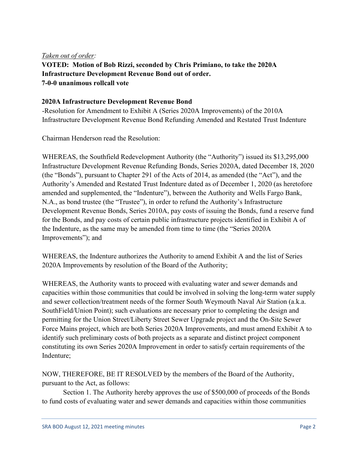### *Taken out of order:*

**VOTED: Motion of Bob Rizzi, seconded by Chris Primiano, to take the 2020A Infrastructure Development Revenue Bond out of order. 7-0-0 unanimous rollcall vote**

### **2020A Infrastructure Development Revenue Bond**

-Resolution for Amendment to Exhibit A (Series 2020A Improvements) of the 2010A Infrastructure Development Revenue Bond Refunding Amended and Restated Trust Indenture

Chairman Henderson read the Resolution:

WHEREAS, the Southfield Redevelopment Authority (the "Authority") issued its \$13,295,000 Infrastructure Development Revenue Refunding Bonds, Series 2020A, dated December 18, 2020 (the "Bonds"), pursuant to Chapter 291 of the Acts of 2014, as amended (the "Act"), and the Authority's Amended and Restated Trust Indenture dated as of December 1, 2020 (as heretofore amended and supplemented, the "Indenture"), between the Authority and Wells Fargo Bank, N.A., as bond trustee (the "Trustee"), in order to refund the Authority's Infrastructure Development Revenue Bonds, Series 2010A, pay costs of issuing the Bonds, fund a reserve fund for the Bonds, and pay costs of certain public infrastructure projects identified in Exhibit A of the Indenture, as the same may be amended from time to time (the "Series 2020A Improvements"); and

WHEREAS, the Indenture authorizes the Authority to amend Exhibit A and the list of Series 2020A Improvements by resolution of the Board of the Authority;

WHEREAS, the Authority wants to proceed with evaluating water and sewer demands and capacities within those communities that could be involved in solving the long-term water supply and sewer collection/treatment needs of the former South Weymouth Naval Air Station (a.k.a. SouthField/Union Point); such evaluations are necessary prior to completing the design and permitting for the Union Street/Liberty Street Sewer Upgrade project and the On-Site Sewer Force Mains project, which are both Series 2020A Improvements, and must amend Exhibit A to identify such preliminary costs of both projects as a separate and distinct project component constituting its own Series 2020A Improvement in order to satisfy certain requirements of the Indenture;

NOW, THEREFORE, BE IT RESOLVED by the members of the Board of the Authority, pursuant to the Act, as follows:

Section 1. The Authority hereby approves the use of \$500,000 of proceeds of the Bonds to fund costs of evaluating water and sewer demands and capacities within those communities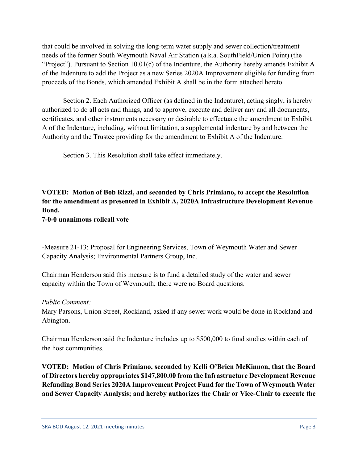that could be involved in solving the long-term water supply and sewer collection/treatment needs of the former South Weymouth Naval Air Station (a.k.a. SouthField/Union Point) (the "Project"). Pursuant to Section 10.01(c) of the Indenture, the Authority hereby amends Exhibit A of the Indenture to add the Project as a new Series 2020A Improvement eligible for funding from proceeds of the Bonds, which amended Exhibit A shall be in the form attached hereto.

Section 2. Each Authorized Officer (as defined in the Indenture), acting singly, is hereby authorized to do all acts and things, and to approve, execute and deliver any and all documents, certificates, and other instruments necessary or desirable to effectuate the amendment to Exhibit A of the Indenture, including, without limitation, a supplemental indenture by and between the Authority and the Trustee providing for the amendment to Exhibit A of the Indenture.

Section 3. This Resolution shall take effect immediately.

# **VOTED: Motion of Bob Rizzi, and seconded by Chris Primiano, to accept the Resolution for the amendment as presented in Exhibit A, 2020A Infrastructure Development Revenue Bond.**

**7-0-0 unanimous rollcall vote**

-Measure 21-13: Proposal for Engineering Services, Town of Weymouth Water and Sewer Capacity Analysis; Environmental Partners Group, Inc.

Chairman Henderson said this measure is to fund a detailed study of the water and sewer capacity within the Town of Weymouth; there were no Board questions.

### *Public Comment:*

Mary Parsons, Union Street, Rockland, asked if any sewer work would be done in Rockland and Abington.

Chairman Henderson said the Indenture includes up to \$500,000 to fund studies within each of the host communities.

**VOTED: Motion of Chris Primiano, seconded by Kelli O'Brien McKinnon, that the Board of Directors hereby appropriates \$147,800.00 from the Infrastructure Development Revenue Refunding Bond Series 2020A Improvement Project Fund for the Town of Weymouth Water and Sewer Capacity Analysis; and hereby authorizes the Chair or Vice-Chair to execute the**